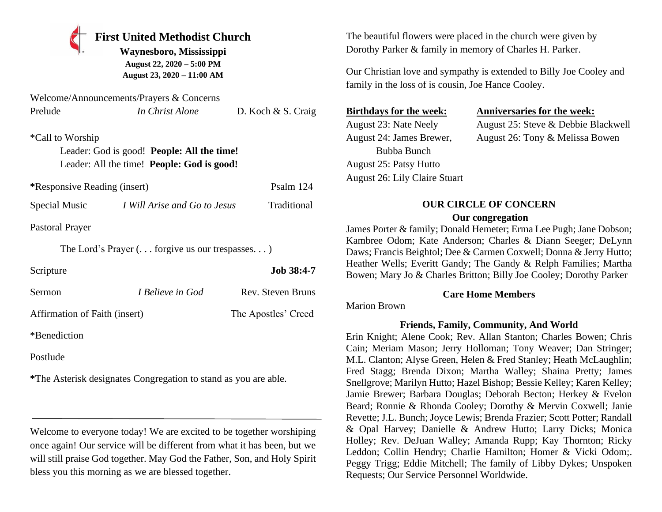## **First United Methodist Church**

**Waynesboro, Mississippi August 22, 2020 – 5:00 PM August 23, 2020 – 11:00 AM**

| Welcome/Announcements/Prayers & Concerns |                 |                    |
|------------------------------------------|-----------------|--------------------|
| Prelude                                  | In Christ Alone | D. Koch & S. Craig |

\*Call to Worship Leader: God is good! **People: All the time!** Leader: All the time! **People: God is good!**

| *Responsive Reading (insert) | Psalm 124 |
|------------------------------|-----------|
|                              |           |

Special Music *I Will Arise and Go to Jesus* Traditional

Pastoral Prayer

The Lord's Prayer (. . . forgive us our trespasses. . . )

| Scripture                     |                         | <b>Job 38:4-7</b>   |
|-------------------------------|-------------------------|---------------------|
| Sermon                        | <i>I Believe in God</i> | Rev. Steven Bruns   |
| Affirmation of Faith (insert) |                         | The Apostles' Creed |

\*Benediction

Postlude

**\***The Asterisk designates Congregation to stand as you are able.

Welcome to everyone today! We are excited to be together worshiping once again! Our service will be different from what it has been, but we will still praise God together. May God the Father, Son, and Holy Spirit bless you this morning as we are blessed together.

The beautiful flowers were placed in the church were given by Dorothy Parker & family in memory of Charles H. Parker.

Our Christian love and sympathy is extended to Billy Joe Cooley and family in the loss of is cousin, Joe Hance Cooley.

Bubba Bunch August 25: Patsy Hutto August 26: Lily Claire Stuart

#### **Birthdays for the week: Anniversaries for the week:**

August 23: Nate Neely August 25: Steve & Debbie Blackwell August 24: James Brewer, August 26: Tony & Melissa Bowen

# **OUR CIRCLE OF CONCERN**

#### **Our congregation**

James Porter & family; Donald Hemeter; Erma Lee Pugh; Jane Dobson; Kambree Odom; Kate Anderson; Charles & Diann Seeger; DeLynn Daws; Francis Beightol; Dee & Carmen Coxwell; Donna & Jerry Hutto; Heather Wells; Everitt Gandy; The Gandy & Relph Families; Martha Bowen; Mary Jo & Charles Britton; Billy Joe Cooley; Dorothy Parker

#### **Care Home Members**

Marion Brown

## **Friends, Family, Community, And World**

Erin Knight; Alene Cook; Rev. Allan Stanton; Charles Bowen; Chris Cain; Meriam Mason; Jerry Holloman; Tony Weaver; Dan Stringer; M.L. Clanton; Alyse Green, Helen & Fred Stanley; Heath McLaughlin; Fred Stagg; Brenda Dixon; Martha Walley; Shaina Pretty; James Snellgrove; Marilyn Hutto; Hazel Bishop; Bessie Kelley; Karen Kelley; Jamie Brewer; Barbara Douglas; Deborah Becton; Herkey & Evelon Beard; Ronnie & Rhonda Cooley; Dorothy & Mervin Coxwell; Janie Revette; J.L. Bunch; Joyce Lewis; Brenda Frazier; Scott Potter; Randall & Opal Harvey; Danielle & Andrew Hutto; Larry Dicks; Monica Holley; Rev. DeJuan Walley; Amanda Rupp; Kay Thornton; Ricky Leddon; Collin Hendry; Charlie Hamilton; Homer & Vicki Odom;. Peggy Trigg; Eddie Mitchell; The family of Libby Dykes; Unspoken Requests; Our Service Personnel Worldwide.